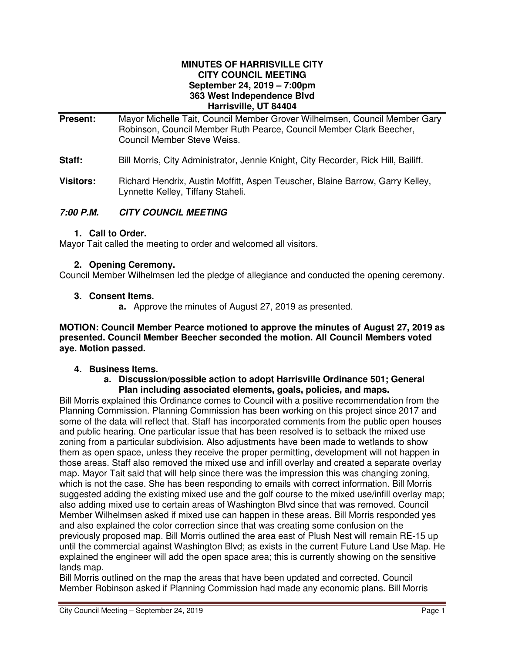#### **MINUTES OF HARRISVILLE CITY CITY COUNCIL MEETING September 24, 2019 – 7:00pm 363 West Independence Blvd Harrisville, UT 84404**

- **Present:** Mayor Michelle Tait, Council Member Grover Wilhelmsen, Council Member Gary Robinson, Council Member Ruth Pearce, Council Member Clark Beecher, Council Member Steve Weiss. **Staff:** Bill Morris, City Administrator, Jennie Knight, City Recorder, Rick Hill, Bailiff.
- **Visitors:** Richard Hendrix, Austin Moffitt, Aspen Teuscher, Blaine Barrow, Garry Kelley, Lynnette Kelley, Tiffany Staheli.

# **7:00 P.M. CITY COUNCIL MEETING**

### **1. Call to Order.**

Mayor Tait called the meeting to order and welcomed all visitors.

## **2. Opening Ceremony.**

Council Member Wilhelmsen led the pledge of allegiance and conducted the opening ceremony.

### **3. Consent Items.**

**a.** Approve the minutes of August 27, 2019 as presented.

#### **MOTION: Council Member Pearce motioned to approve the minutes of August 27, 2019 as presented. Council Member Beecher seconded the motion. All Council Members voted aye. Motion passed.**

### **4. Business Items.**

#### **a. Discussion/possible action to adopt Harrisville Ordinance 501; General Plan including associated elements, goals, policies, and maps.**

Bill Morris explained this Ordinance comes to Council with a positive recommendation from the Planning Commission. Planning Commission has been working on this project since 2017 and some of the data will reflect that. Staff has incorporated comments from the public open houses and public hearing. One particular issue that has been resolved is to setback the mixed use zoning from a particular subdivision. Also adjustments have been made to wetlands to show them as open space, unless they receive the proper permitting, development will not happen in those areas. Staff also removed the mixed use and infill overlay and created a separate overlay map. Mayor Tait said that will help since there was the impression this was changing zoning, which is not the case. She has been responding to emails with correct information. Bill Morris suggested adding the existing mixed use and the golf course to the mixed use/infill overlay map; also adding mixed use to certain areas of Washington Blvd since that was removed. Council Member Wilhelmsen asked if mixed use can happen in these areas. Bill Morris responded yes and also explained the color correction since that was creating some confusion on the previously proposed map. Bill Morris outlined the area east of Plush Nest will remain RE-15 up until the commercial against Washington Blvd; as exists in the current Future Land Use Map. He explained the engineer will add the open space area; this is currently showing on the sensitive lands map.

Bill Morris outlined on the map the areas that have been updated and corrected. Council Member Robinson asked if Planning Commission had made any economic plans. Bill Morris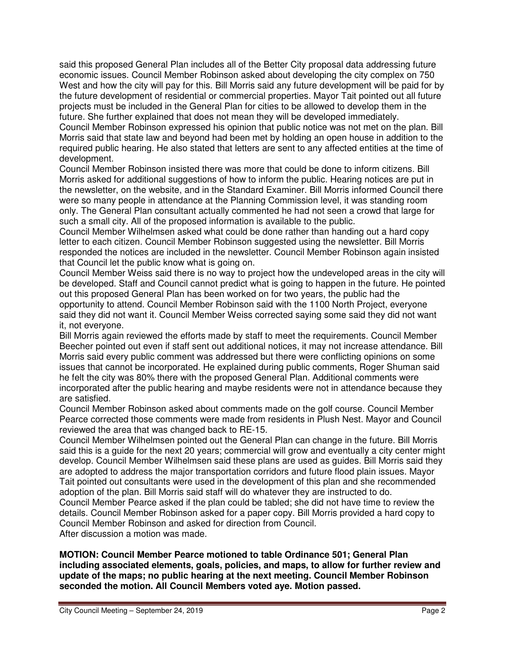said this proposed General Plan includes all of the Better City proposal data addressing future economic issues. Council Member Robinson asked about developing the city complex on 750 West and how the city will pay for this. Bill Morris said any future development will be paid for by the future development of residential or commercial properties. Mayor Tait pointed out all future projects must be included in the General Plan for cities to be allowed to develop them in the future. She further explained that does not mean they will be developed immediately.

Council Member Robinson expressed his opinion that public notice was not met on the plan. Bill Morris said that state law and beyond had been met by holding an open house in addition to the required public hearing. He also stated that letters are sent to any affected entities at the time of development.

Council Member Robinson insisted there was more that could be done to inform citizens. Bill Morris asked for additional suggestions of how to inform the public. Hearing notices are put in the newsletter, on the website, and in the Standard Examiner. Bill Morris informed Council there were so many people in attendance at the Planning Commission level, it was standing room only. The General Plan consultant actually commented he had not seen a crowd that large for such a small city. All of the proposed information is available to the public.

Council Member Wilhelmsen asked what could be done rather than handing out a hard copy letter to each citizen. Council Member Robinson suggested using the newsletter. Bill Morris responded the notices are included in the newsletter. Council Member Robinson again insisted that Council let the public know what is going on.

Council Member Weiss said there is no way to project how the undeveloped areas in the city will be developed. Staff and Council cannot predict what is going to happen in the future. He pointed out this proposed General Plan has been worked on for two years, the public had the opportunity to attend. Council Member Robinson said with the 1100 North Project, everyone said they did not want it. Council Member Weiss corrected saying some said they did not want it, not everyone.

Bill Morris again reviewed the efforts made by staff to meet the requirements. Council Member Beecher pointed out even if staff sent out additional notices, it may not increase attendance. Bill Morris said every public comment was addressed but there were conflicting opinions on some issues that cannot be incorporated. He explained during public comments, Roger Shuman said he felt the city was 80% there with the proposed General Plan. Additional comments were incorporated after the public hearing and maybe residents were not in attendance because they are satisfied.

Council Member Robinson asked about comments made on the golf course. Council Member Pearce corrected those comments were made from residents in Plush Nest. Mayor and Council reviewed the area that was changed back to RE-15.

Council Member Wilhelmsen pointed out the General Plan can change in the future. Bill Morris said this is a guide for the next 20 years; commercial will grow and eventually a city center might develop. Council Member Wilhelmsen said these plans are used as guides. Bill Morris said they are adopted to address the major transportation corridors and future flood plain issues. Mayor Tait pointed out consultants were used in the development of this plan and she recommended adoption of the plan. Bill Morris said staff will do whatever they are instructed to do.

Council Member Pearce asked if the plan could be tabled; she did not have time to review the details. Council Member Robinson asked for a paper copy. Bill Morris provided a hard copy to Council Member Robinson and asked for direction from Council.

After discussion a motion was made.

#### **MOTION: Council Member Pearce motioned to table Ordinance 501; General Plan including associated elements, goals, policies, and maps, to allow for further review and update of the maps; no public hearing at the next meeting. Council Member Robinson seconded the motion. All Council Members voted aye. Motion passed.**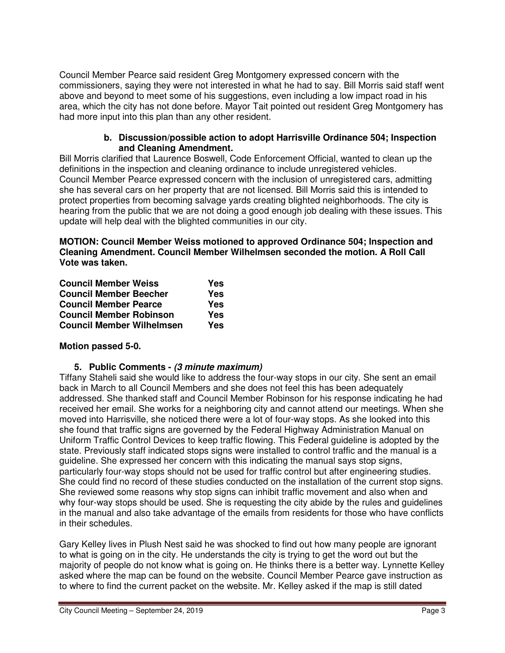Council Member Pearce said resident Greg Montgomery expressed concern with the commissioners, saying they were not interested in what he had to say. Bill Morris said staff went above and beyond to meet some of his suggestions, even including a low impact road in his area, which the city has not done before. Mayor Tait pointed out resident Greg Montgomery has had more input into this plan than any other resident.

### **b. Discussion/possible action to adopt Harrisville Ordinance 504; Inspection and Cleaning Amendment.**

Bill Morris clarified that Laurence Boswell, Code Enforcement Official, wanted to clean up the definitions in the inspection and cleaning ordinance to include unregistered vehicles. Council Member Pearce expressed concern with the inclusion of unregistered cars, admitting she has several cars on her property that are not licensed. Bill Morris said this is intended to protect properties from becoming salvage yards creating blighted neighborhoods. The city is hearing from the public that we are not doing a good enough job dealing with these issues. This update will help deal with the blighted communities in our city.

**MOTION: Council Member Weiss motioned to approved Ordinance 504; Inspection and Cleaning Amendment. Council Member Wilhelmsen seconded the motion. A Roll Call Vote was taken.** 

| <b>Council Member Weiss</b>      | Yes |
|----------------------------------|-----|
| <b>Council Member Beecher</b>    | Yes |
| <b>Council Member Pearce</b>     | Yes |
| <b>Council Member Robinson</b>   | Yes |
| <b>Council Member Wilhelmsen</b> | Yes |

## **Motion passed 5-0.**

### **5. Public Comments - (3 minute maximum)**

Tiffany Staheli said she would like to address the four-way stops in our city. She sent an email back in March to all Council Members and she does not feel this has been adequately addressed. She thanked staff and Council Member Robinson for his response indicating he had received her email. She works for a neighboring city and cannot attend our meetings. When she moved into Harrisville, she noticed there were a lot of four-way stops. As she looked into this she found that traffic signs are governed by the Federal Highway Administration Manual on Uniform Traffic Control Devices to keep traffic flowing. This Federal guideline is adopted by the state. Previously staff indicated stops signs were installed to control traffic and the manual is a guideline. She expressed her concern with this indicating the manual says stop signs, particularly four-way stops should not be used for traffic control but after engineering studies. She could find no record of these studies conducted on the installation of the current stop signs. She reviewed some reasons why stop signs can inhibit traffic movement and also when and why four-way stops should be used. She is requesting the city abide by the rules and guidelines in the manual and also take advantage of the emails from residents for those who have conflicts in their schedules.

Gary Kelley lives in Plush Nest said he was shocked to find out how many people are ignorant to what is going on in the city. He understands the city is trying to get the word out but the majority of people do not know what is going on. He thinks there is a better way. Lynnette Kelley asked where the map can be found on the website. Council Member Pearce gave instruction as to where to find the current packet on the website. Mr. Kelley asked if the map is still dated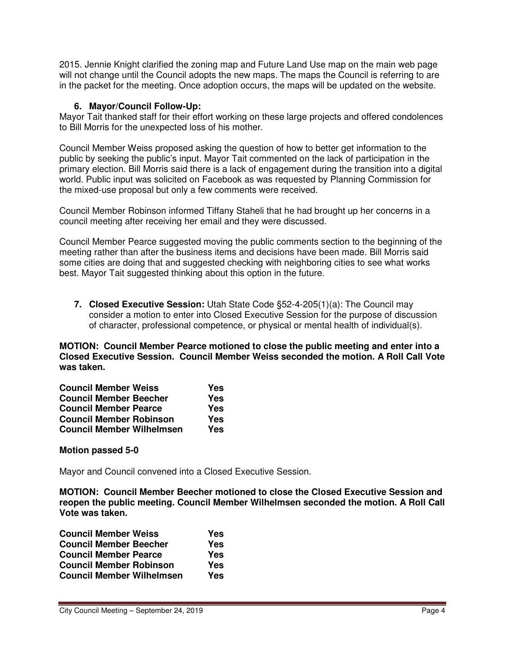2015. Jennie Knight clarified the zoning map and Future Land Use map on the main web page will not change until the Council adopts the new maps. The maps the Council is referring to are in the packet for the meeting. Once adoption occurs, the maps will be updated on the website.

### **6. Mayor/Council Follow-Up:**

Mayor Tait thanked staff for their effort working on these large projects and offered condolences to Bill Morris for the unexpected loss of his mother.

Council Member Weiss proposed asking the question of how to better get information to the public by seeking the public's input. Mayor Tait commented on the lack of participation in the primary election. Bill Morris said there is a lack of engagement during the transition into a digital world. Public input was solicited on Facebook as was requested by Planning Commission for the mixed-use proposal but only a few comments were received.

Council Member Robinson informed Tiffany Staheli that he had brought up her concerns in a council meeting after receiving her email and they were discussed.

Council Member Pearce suggested moving the public comments section to the beginning of the meeting rather than after the business items and decisions have been made. Bill Morris said some cities are doing that and suggested checking with neighboring cities to see what works best. Mayor Tait suggested thinking about this option in the future.

**7. Closed Executive Session:** Utah State Code §52-4-205(1)(a): The Council may consider a motion to enter into Closed Executive Session for the purpose of discussion of character, professional competence, or physical or mental health of individual(s).

**MOTION: Council Member Pearce motioned to close the public meeting and enter into a Closed Executive Session. Council Member Weiss seconded the motion. A Roll Call Vote was taken.** 

| <b>Council Member Weiss</b>      | Yes |
|----------------------------------|-----|
| <b>Council Member Beecher</b>    | Yes |
| <b>Council Member Pearce</b>     | Yes |
| <b>Council Member Robinson</b>   | Yes |
| <b>Council Member Wilhelmsen</b> | Yes |

### **Motion passed 5-0**

Mayor and Council convened into a Closed Executive Session.

**MOTION: Council Member Beecher motioned to close the Closed Executive Session and reopen the public meeting. Council Member Wilhelmsen seconded the motion. A Roll Call Vote was taken.** 

| <b>Council Member Weiss</b>      | Yes |
|----------------------------------|-----|
| <b>Council Member Beecher</b>    | Yes |
| <b>Council Member Pearce</b>     | Yes |
| <b>Council Member Robinson</b>   | Yes |
| <b>Council Member Wilhelmsen</b> | Yes |